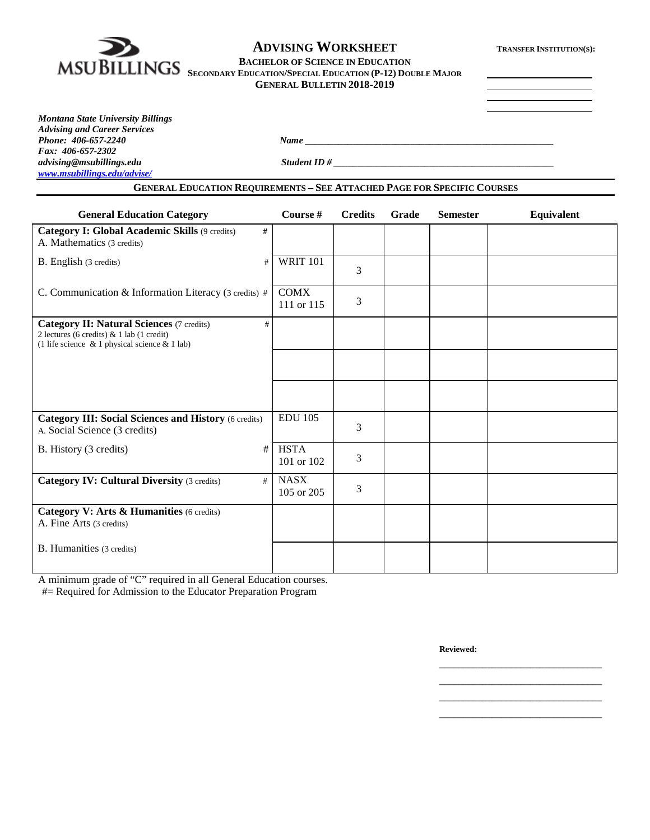

# **ADVISING WORKSHEET TRANSFER INSTITUTION(S):**

#### **BACHELOR OF SCIENCE IN EDUCATION**

**SECONDARY EDUCATION/SPECIAL EDUCATION (P-12) DOUBLE MAJOR GENERAL BULLETIN 2018-2019**

*Montana State University Billings Advising and Career Services Fax: 406-657-2302 advising@msubillings.edu Student ID # \_\_\_\_\_\_\_\_\_\_\_\_\_\_\_\_\_\_\_\_\_\_\_\_\_\_\_\_\_\_\_\_\_\_\_\_\_\_\_\_\_\_\_\_\_\_ [www.msubillings.edu/advise/](http://www.msubillings.edu/advise/)*

*Phone: 406-657-2240 Name \_\_\_\_\_\_\_\_\_\_\_\_\_\_\_\_\_\_\_\_\_\_\_\_\_\_\_\_\_\_\_\_\_\_\_\_\_\_\_\_\_\_\_\_\_\_\_\_\_\_\_\_*

### **GENERAL EDUCATION REQUIREMENTS – SEE ATTACHED PAGE FOR SPECIFIC COURSES**

| <b>General Education Category</b>                                                                                                                         | Course #                  | <b>Credits</b> | Grade | <b>Semester</b> | Equivalent |
|-----------------------------------------------------------------------------------------------------------------------------------------------------------|---------------------------|----------------|-------|-----------------|------------|
| <b>Category I: Global Academic Skills (9 credits)</b><br>#<br>A. Mathematics (3 credits)                                                                  |                           |                |       |                 |            |
| B. English (3 credits)<br>#                                                                                                                               | <b>WRIT 101</b>           | 3              |       |                 |            |
| C. Communication & Information Literacy (3 credits) #                                                                                                     | <b>COMX</b><br>111 or 115 | 3              |       |                 |            |
| <b>Category II: Natural Sciences (7 credits)</b><br>#<br>2 lectures (6 credits) & 1 lab (1 credit)<br>(1 life science $\&$ 1 physical science $\&$ 1 lab) |                           |                |       |                 |            |
|                                                                                                                                                           |                           |                |       |                 |            |
|                                                                                                                                                           |                           |                |       |                 |            |
| <b>Category III: Social Sciences and History (6 credits)</b><br>A. Social Science (3 credits)                                                             | <b>EDU 105</b>            | 3              |       |                 |            |
| B. History (3 credits)<br>#                                                                                                                               | <b>HSTA</b><br>101 or 102 | 3              |       |                 |            |
| <b>Category IV: Cultural Diversity (3 credits)</b><br>#                                                                                                   | <b>NASX</b><br>105 or 205 | 3              |       |                 |            |
| Category V: Arts & Humanities (6 credits)<br>A. Fine Arts (3 credits)                                                                                     |                           |                |       |                 |            |
| B. Humanities (3 credits)                                                                                                                                 |                           |                |       |                 |            |

A minimum grade of "C" required in all General Education courses.

#= Required for Admission to the Educator Preparation Program

**Reviewed:**

\_\_\_\_\_\_\_\_\_\_\_\_\_\_\_\_\_\_\_\_\_\_\_\_\_\_\_\_\_\_\_\_\_\_ \_\_\_\_\_\_\_\_\_\_\_\_\_\_\_\_\_\_\_\_\_\_\_\_\_\_\_\_\_\_\_\_\_\_ \_\_\_\_\_\_\_\_\_\_\_\_\_\_\_\_\_\_\_\_\_\_\_\_\_\_\_\_\_\_\_\_\_\_ \_\_\_\_\_\_\_\_\_\_\_\_\_\_\_\_\_\_\_\_\_\_\_\_\_\_\_\_\_\_\_\_\_\_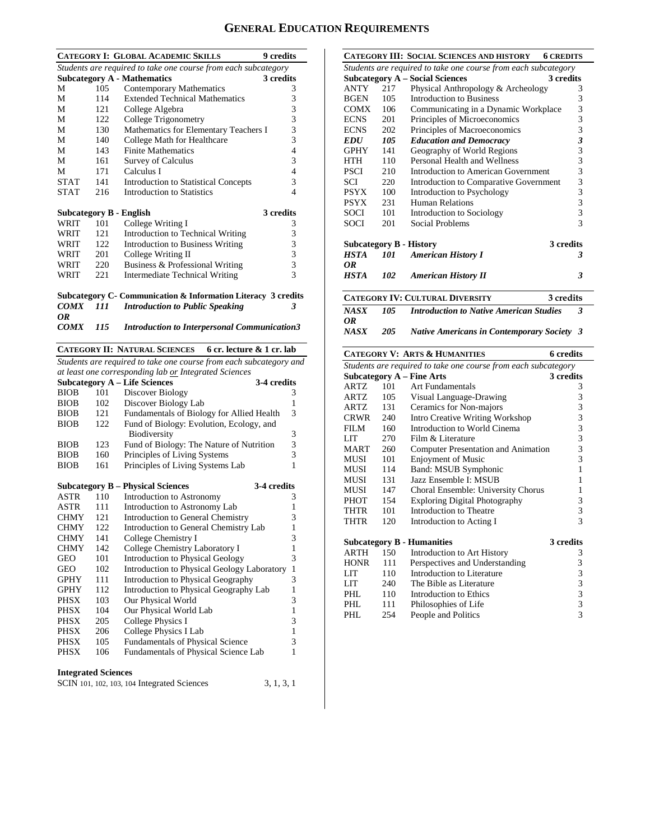## **GENERAL EDUCATION REQUIREMENTS**

|                                                                |     | <b>CATEGORY I: GLOBAL ACADEMIC SKILLS</b>           | 9 credits      |  |  |  |
|----------------------------------------------------------------|-----|-----------------------------------------------------|----------------|--|--|--|
| Students are required to take one course from each subcategory |     |                                                     |                |  |  |  |
|                                                                |     | <b>Subcategory A - Mathematics</b>                  | 3 credits      |  |  |  |
| M                                                              | 105 | Contemporary Mathematics                            | 3              |  |  |  |
| М                                                              | 114 | <b>Extended Technical Mathematics</b>               | 3              |  |  |  |
| M                                                              | 121 | College Algebra                                     | 3              |  |  |  |
| М                                                              | 122 | College Trigonometry                                | 3              |  |  |  |
| M                                                              | 130 | Mathematics for Elementary Teachers I               | 3              |  |  |  |
| М                                                              | 140 | College Math for Healthcare                         | 3              |  |  |  |
| М                                                              | 143 | <b>Finite Mathematics</b>                           | 4              |  |  |  |
| M                                                              | 161 | <b>Survey of Calculus</b>                           | 3              |  |  |  |
| М                                                              | 171 | Calculus I                                          | 4              |  |  |  |
| <b>STAT</b>                                                    | 141 | <b>Introduction to Statistical Concepts</b>         | 3              |  |  |  |
| <b>STAT</b>                                                    | 216 | Introduction to Statistics                          | 4              |  |  |  |
|                                                                |     | Subcategory B - English                             | 3 credits      |  |  |  |
| WRIT                                                           | 101 | College Writing I                                   | 3              |  |  |  |
| WRIT                                                           | 121 | Introduction to Technical Writing                   | 3              |  |  |  |
| WRIT                                                           | 122 | Introduction to Business Writing                    | 3              |  |  |  |
| WRIT                                                           | 201 | College Writing II                                  | 3              |  |  |  |
| WRIT                                                           | 220 | Business & Professional Writing                     | 3              |  |  |  |
| WRIT                                                           | 221 | Intermediate Technical Writing                      | $\overline{3}$ |  |  |  |
| Subcategory C- Communication & Information Literacy 3 credits  |     |                                                     |                |  |  |  |
| <b>COMX</b>                                                    | 111 | <b>Introduction to Public Speaking</b>              | 3              |  |  |  |
| 0R                                                             |     |                                                     |                |  |  |  |
| <b>COMX</b>                                                    | 115 | <b>Introduction to Interpersonal Communication3</b> |                |  |  |  |

**CATEGORY II: NATURAL SCIENCES 6 cr. lecture & 1 cr. lab**

*Students are required to take one course from each subcategory and at least one corresponding lab or Integrated Sciences*

|             |     | Subcategory A – Life Sciences<br>3-4 credits |   |
|-------------|-----|----------------------------------------------|---|
| <b>BIOB</b> | 101 | Discover Biology                             | 3 |
| <b>BIOB</b> | 102 | Discover Biology Lab                         | 1 |
| <b>BIOB</b> | 121 | Fundamentals of Biology for Allied Health    | 3 |
| <b>BIOB</b> | 122 | Fund of Biology: Evolution, Ecology, and     |   |
|             |     | <b>Biodiversity</b>                          | 3 |
| <b>BIOB</b> | 123 | Fund of Biology: The Nature of Nutrition     | 3 |
| <b>BIOB</b> | 160 | Principles of Living Systems                 | 3 |
| <b>BIOB</b> | 161 | Principles of Living Systems Lab             | 1 |
|             |     |                                              |   |

|                            |     | <b>Subcategory B – Physical Sciences</b>    | 3-4 credits |   |  |  |  |
|----------------------------|-----|---------------------------------------------|-------------|---|--|--|--|
| ASTR                       | 110 | Introduction to Astronomy                   |             | 3 |  |  |  |
| ASTR                       | 111 | Introduction to Astronomy Lab               |             |   |  |  |  |
| <b>CHMY</b>                | 121 | Introduction to General Chemistry           |             | 3 |  |  |  |
| <b>CHMY</b>                | 122 | Introduction to General Chemistry Lab       |             | 1 |  |  |  |
| <b>CHMY</b>                | 141 | College Chemistry I                         |             | 3 |  |  |  |
| <b>CHMY</b>                | 142 | College Chemistry Laboratory I              |             | 1 |  |  |  |
| GEO                        | 101 | <b>Introduction to Physical Geology</b>     |             | 3 |  |  |  |
| GEO                        | 102 | Introduction to Physical Geology Laboratory |             | 1 |  |  |  |
| GPHY                       | 111 | Introduction to Physical Geography          |             | 3 |  |  |  |
| <b>GPHY</b>                | 112 | Introduction to Physical Geography Lab      |             | 1 |  |  |  |
| <b>PHSX</b>                | 103 | Our Physical World                          |             | 3 |  |  |  |
| <b>PHSX</b>                | 104 | Our Physical World Lab                      |             | 1 |  |  |  |
| PHSX                       | 205 | College Physics I                           |             | 3 |  |  |  |
| PHSX                       | 206 | College Physics I Lab                       |             | 1 |  |  |  |
| PHSX                       | 105 | <b>Fundamentals of Physical Science</b>     |             | 3 |  |  |  |
| PHSX                       | 106 | Fundamentals of Physical Science Lab        |             | 1 |  |  |  |
|                            |     |                                             |             |   |  |  |  |
| <b>Integrated Sciences</b> |     |                                             |             |   |  |  |  |
|                            |     | SCIN 101, 102, 103, 104 Integrated Sciences | 3, 1, 3, 1  |   |  |  |  |

|             |                                                                | <b>CATEGORY III: SOCIAL SCIENCES AND HISTORY</b>                                                             | <b>6 CREDITS</b>            |  |  |  |
|-------------|----------------------------------------------------------------|--------------------------------------------------------------------------------------------------------------|-----------------------------|--|--|--|
|             | Students are required to take one course from each subcategory |                                                                                                              |                             |  |  |  |
|             |                                                                | <b>Subcategory A – Social Sciences</b>                                                                       | 3 credits                   |  |  |  |
| ANTY        | 217                                                            | Physical Anthropology & Archeology                                                                           | 3                           |  |  |  |
| <b>BGEN</b> | 105                                                            | Introduction to Business                                                                                     | 3                           |  |  |  |
| COMX        | 106                                                            | Communicating in a Dynamic Workplace                                                                         | 3                           |  |  |  |
| <b>ECNS</b> | 201                                                            | Principles of Microeconomics                                                                                 | 3                           |  |  |  |
| <b>ECNS</b> | 202                                                            | Principles of Macroeconomics                                                                                 | 3                           |  |  |  |
| EDU         | 105                                                            | <b>Education and Democracy</b>                                                                               | $\boldsymbol{\mathfrak{z}}$ |  |  |  |
| <b>GPHY</b> | 141                                                            | Geography of World Regions                                                                                   | $\overline{3}$              |  |  |  |
| HTH         | 110                                                            | Personal Health and Wellness                                                                                 | 3                           |  |  |  |
| <b>PSCI</b> | 210                                                            | Introduction to American Government                                                                          | $\overline{3}$              |  |  |  |
| SCI         | 220                                                            | Introduction to Comparative Government                                                                       | 3                           |  |  |  |
| <b>PSYX</b> | 100                                                            | Introduction to Psychology                                                                                   | $\overline{3}$              |  |  |  |
| <b>PSYX</b> | 231                                                            | Human Relations                                                                                              | $\overline{3}$              |  |  |  |
| SOCI        | 101                                                            | Introduction to Sociology                                                                                    | 3                           |  |  |  |
| SOCI        | 201                                                            | Social Problems                                                                                              | 3                           |  |  |  |
|             |                                                                | <b>Subcategory B - History</b>                                                                               | 3 credits                   |  |  |  |
| HSTA        | 101                                                            | <b>American History I</b>                                                                                    | 3                           |  |  |  |
| OR          |                                                                |                                                                                                              |                             |  |  |  |
| HSTA        | 102                                                            | <b>American History II</b>                                                                                   | 3                           |  |  |  |
|             |                                                                | $C_1$ and $C_2$ any $\mathbf{IV}$ . $C_{\mathbf{IV}}$ ay $\mathbf{IV}$ is $\mathbf{IV}$ in $C_{\mathbf{IV}}$ | 2.111                       |  |  |  |

|            |     | <b>CATEGORY IV: CULTURAL DIVERSITY</b><br>3 credits |  |
|------------|-----|-----------------------------------------------------|--|
| NASX<br>ОR | 105 | <b>Introduction to Native American Studies</b>      |  |
| NASX       | 205 | <b>Native Americans in Contemporary Society 3</b>   |  |

|                                                                |     | <b>CATEGORY V: ARTS &amp; HUMANITIES</b> | 6 credits                                            |  |  |
|----------------------------------------------------------------|-----|------------------------------------------|------------------------------------------------------|--|--|
| Students are required to take one course from each subcategory |     |                                          |                                                      |  |  |
|                                                                |     | <b>Subcategory A - Fine Arts</b>         | 3 credits                                            |  |  |
| ARTZ                                                           | 101 | Art Fundamentals                         | 3                                                    |  |  |
| ARTZ.                                                          | 105 | Visual Language-Drawing                  |                                                      |  |  |
| ARTZ.                                                          | 131 | Ceramics for Non-majors                  |                                                      |  |  |
| CRWR                                                           | 240 | Intro Creative Writing Workshop          |                                                      |  |  |
| FILM                                                           | 160 | Introduction to World Cinema             |                                                      |  |  |
| LIT                                                            | 270 | Film & Literature                        |                                                      |  |  |
| <b>MART</b>                                                    | 260 | Computer Presentation and Animation      | 333333                                               |  |  |
| MUSI                                                           | 101 | <b>Enjoyment of Music</b>                |                                                      |  |  |
| MUSI                                                           | 114 | Band: MSUB Symphonic                     | $\mathbf{1}$                                         |  |  |
| <b>MUSI</b>                                                    | 131 | Jazz Ensemble I: MSUB                    | 1                                                    |  |  |
| MUSI                                                           | 147 | Choral Ensemble: University Chorus       | 1                                                    |  |  |
| <b>PHOT</b>                                                    | 154 | <b>Exploring Digital Photography</b>     | 3                                                    |  |  |
| THTR                                                           | 101 | Introduction to Theatre                  | $\frac{3}{3}$                                        |  |  |
| THTR                                                           | 120 | Introduction to Acting I                 |                                                      |  |  |
|                                                                |     | <b>Subcategory B - Humanities</b>        | 3 credits                                            |  |  |
| <b>ARTH</b>                                                    | 150 | Introduction to Art History              | 3                                                    |  |  |
| <b>HONR</b>                                                    | 111 | Perspectives and Understanding           |                                                      |  |  |
| LIT                                                            | 110 | Introduction to Literature               |                                                      |  |  |
| LIT                                                            | 240 | The Bible as Literature                  |                                                      |  |  |
| PHL                                                            | 110 | Introduction to Ethics                   |                                                      |  |  |
| PHI.                                                           | 111 | Philosophies of Life                     | $\begin{array}{c} 3 \\ 3 \\ 3 \\ 3 \\ 3 \end{array}$ |  |  |
| PHL                                                            | 254 | People and Politics                      |                                                      |  |  |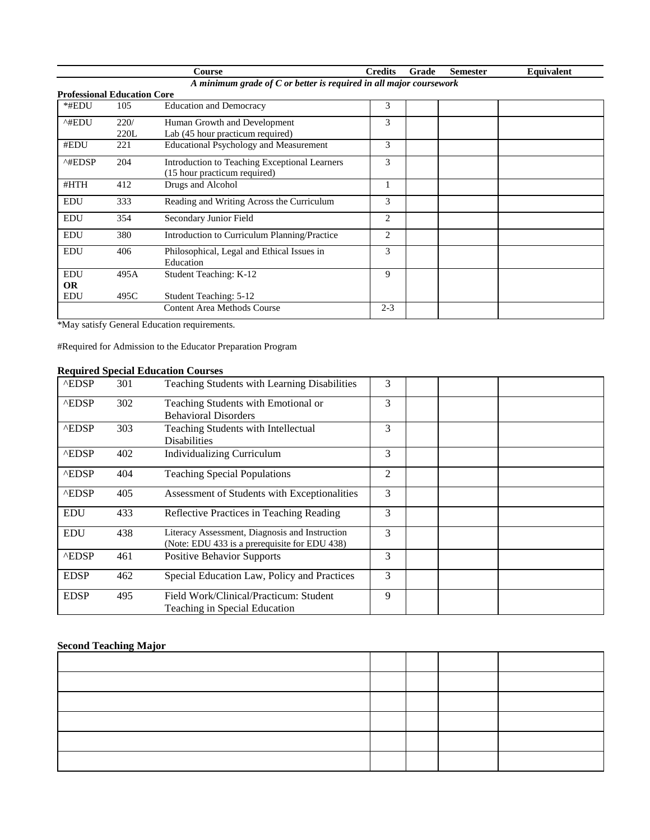|                                                                    |                                    | Course                                        | <b>Credits</b> | Grade | <b>Semester</b> | <b>Equivalent</b> |  |  |
|--------------------------------------------------------------------|------------------------------------|-----------------------------------------------|----------------|-------|-----------------|-------------------|--|--|
| A minimum grade of C or better is required in all major coursework |                                    |                                               |                |       |                 |                   |  |  |
|                                                                    | <b>Professional Education Core</b> |                                               |                |       |                 |                   |  |  |
| *#EDU                                                              | 105                                | <b>Education and Democracy</b>                | 3              |       |                 |                   |  |  |
| ^#EDU                                                              | 220/                               | Human Growth and Development                  | 3              |       |                 |                   |  |  |
|                                                                    | 220L                               | Lab (45 hour practicum required)              |                |       |                 |                   |  |  |
| #EDU                                                               | 221                                | <b>Educational Psychology and Measurement</b> | 3              |       |                 |                   |  |  |
| $^{\wedge\text{HEDSP}}$                                            | 204                                | Introduction to Teaching Exceptional Learners | 3              |       |                 |                   |  |  |
|                                                                    |                                    | (15 hour practicum required)                  |                |       |                 |                   |  |  |
| #HTH                                                               | 412                                | Drugs and Alcohol                             |                |       |                 |                   |  |  |
| <b>EDU</b>                                                         | 333                                | Reading and Writing Across the Curriculum     | 3              |       |                 |                   |  |  |
| <b>EDU</b>                                                         | 354                                | Secondary Junior Field                        | $\overline{2}$ |       |                 |                   |  |  |
| <b>EDU</b>                                                         | 380                                | Introduction to Curriculum Planning/Practice  | $\overline{c}$ |       |                 |                   |  |  |
| <b>EDU</b>                                                         | 406                                | Philosophical, Legal and Ethical Issues in    | 3              |       |                 |                   |  |  |
|                                                                    |                                    | Education                                     |                |       |                 |                   |  |  |
| <b>EDU</b>                                                         | 495A                               | Student Teaching: K-12                        | 9              |       |                 |                   |  |  |
| <b>OR</b>                                                          |                                    |                                               |                |       |                 |                   |  |  |
| <b>EDU</b>                                                         | 495C                               | Student Teaching: 5-12                        |                |       |                 |                   |  |  |
|                                                                    |                                    | Content Area Methods Course                   | $2 - 3$        |       |                 |                   |  |  |

\*May satisfy General Education requirements.

#Required for Admission to the Educator Preparation Program

## **Required Special Education Courses**

| <b>AEDSP</b> | 301 | Teaching Students with Learning Disabilities                                                    | 3 |  |  |
|--------------|-----|-------------------------------------------------------------------------------------------------|---|--|--|
| <b>AEDSP</b> | 302 | Teaching Students with Emotional or<br><b>Behavioral Disorders</b>                              | 3 |  |  |
| <b>AEDSP</b> | 303 | Teaching Students with Intellectual<br><b>Disabilities</b>                                      | 3 |  |  |
| <b>AEDSP</b> | 402 | <b>Individualizing Curriculum</b>                                                               | 3 |  |  |
| <b>AEDSP</b> | 404 | <b>Teaching Special Populations</b>                                                             | 2 |  |  |
| <b>AEDSP</b> | 405 | Assessment of Students with Exceptionalities                                                    | 3 |  |  |
| <b>EDU</b>   | 433 | Reflective Practices in Teaching Reading                                                        | 3 |  |  |
| <b>EDU</b>   | 438 | Literacy Assessment, Diagnosis and Instruction<br>(Note: EDU 433 is a prerequisite for EDU 438) | 3 |  |  |
| <b>AEDSP</b> | 461 | <b>Positive Behavior Supports</b>                                                               | 3 |  |  |
| <b>EDSP</b>  | 462 | Special Education Law, Policy and Practices                                                     | 3 |  |  |
| <b>EDSP</b>  | 495 | Field Work/Clinical/Practicum: Student<br>Teaching in Special Education                         | 9 |  |  |

## **Second Teaching Major**